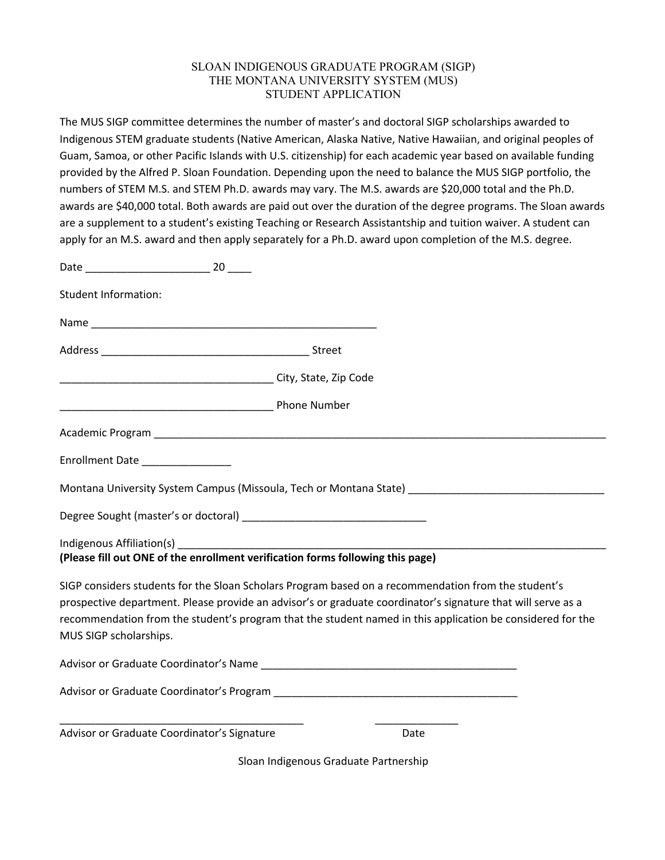# SLOAN INDIGENOUS GRADUATE PROGRAM (SIGP) THE MONTANA UNIVERSITY SYSTEM (MUS) STUDENT APPLICATION

The MUS SIGP committee determines the number of master's and doctoral SIGP scholarships awarded to Indigenous STEM graduate students (Native American, Alaska Native, Native Hawaiian, and original peoples of Guam, Samoa, or other Pacific Islands with U.S. citizenship) for each academic year based on available funding provided by the Alfred P. Sloan Foundation. Depending upon the need to balance the MUS SIGP portfolio, the numbers of STEM M.S. and STEM Ph.D. awards may vary. The M.S. awards are \$20,000 total and the Ph.D. awards are \$40,000 total. Both awards are paid out over the duration of the degree programs. The Sloan awards are a supplement to a student's existing Teaching or Research Assistantship and tuition waiver. A student can apply for an M.S. award and then apply separately for a Ph.D. award upon completion of the M.S. degree.

| <b>Student Information:</b>                                                                                                   |                                                                                                                                                                                                                            |
|-------------------------------------------------------------------------------------------------------------------------------|----------------------------------------------------------------------------------------------------------------------------------------------------------------------------------------------------------------------------|
|                                                                                                                               |                                                                                                                                                                                                                            |
|                                                                                                                               |                                                                                                                                                                                                                            |
|                                                                                                                               |                                                                                                                                                                                                                            |
|                                                                                                                               |                                                                                                                                                                                                                            |
|                                                                                                                               |                                                                                                                                                                                                                            |
| Enrollment Date                                                                                                               |                                                                                                                                                                                                                            |
|                                                                                                                               | Montana University System Campus (Missoula, Tech or Montana State) Letterman and Montana University System Campus                                                                                                          |
|                                                                                                                               |                                                                                                                                                                                                                            |
|                                                                                                                               |                                                                                                                                                                                                                            |
| (Please fill out ONE of the enrollment verification forms following this page)                                                |                                                                                                                                                                                                                            |
| SIGP considers students for the Sloan Scholars Program based on a recommendation from the student's<br>MUS SIGP scholarships. | prospective department. Please provide an advisor's or graduate coordinator's signature that will serve as a<br>recommendation from the student's program that the student named in this application be considered for the |
| Advisor or Graduate Coordinator's Name National Contract of Contract of Contract of Contract of Contract of Co                |                                                                                                                                                                                                                            |
|                                                                                                                               |                                                                                                                                                                                                                            |
| Advisor or Graduate Coordinator's Signature                                                                                   | Date                                                                                                                                                                                                                       |

Sloan Indigenous Graduate Partnership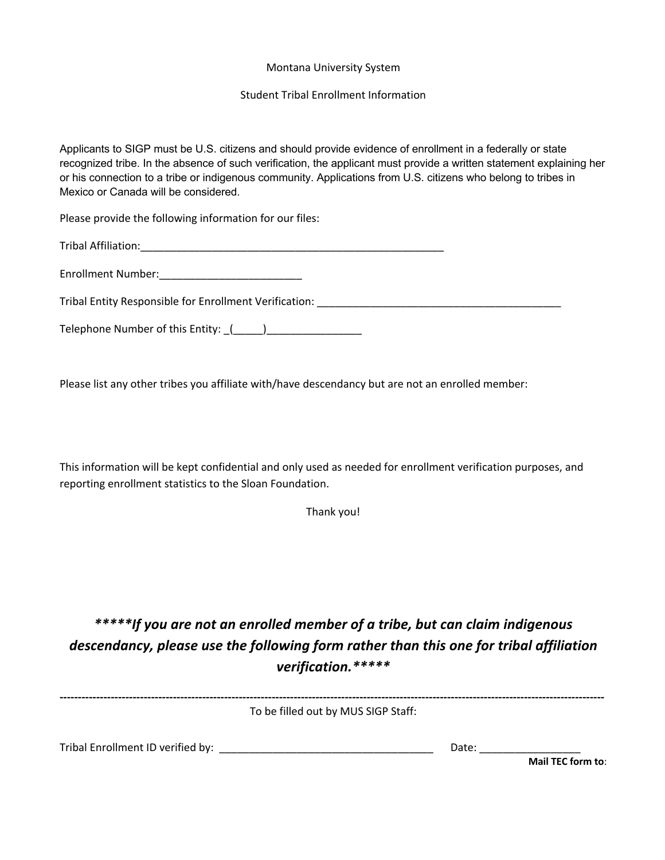### Montana University System

### Student Tribal Enrollment Information

Applicants to SIGP must be U.S. citizens and should provide evidence of enrollment in a federally or state recognized tribe. In the absence of such verification, the applicant must provide a written statement explaining her or his connection to a tribe or indigenous community. Applications from U.S. citizens who belong to tribes in Mexico or Canada will be considered.

Please provide the following information for our files:

Tribal Affiliation:\_\_\_\_\_\_\_\_\_\_\_\_\_\_\_\_\_\_\_\_\_\_\_\_\_\_\_\_\_\_\_\_\_\_\_\_\_\_\_\_\_\_\_\_\_\_\_\_\_\_\_

Enrollment Number:\_\_\_\_\_\_\_\_\_\_\_\_\_\_\_\_\_\_\_\_\_\_\_\_

Tribal Entity Responsible for Enrollment Verification: \_\_\_\_\_\_\_\_\_\_\_\_\_\_\_\_\_\_\_\_\_\_\_\_\_\_\_\_\_\_\_\_\_\_\_\_\_\_\_\_\_

Telephone Number of this Entity: \_(\_\_\_\_\_)\_\_\_\_\_\_\_\_\_\_\_\_\_\_\_\_

Please list any other tribes you affiliate with/have descendancy but are not an enrolled member:

This information will be kept confidential and only used as needed for enrollment verification purposes, and reporting enrollment statistics to the Sloan Foundation.

Thank you!

*\*\*\*\*\*If you are not an enrolled member of a tribe, but can claim indigenous descendancy, please use the following form rather than this one for tribal affiliation verification.\*\*\*\*\**

To be filled out by MUS SIGP Staff:

Tribal Enrollment ID verified by: \_\_\_\_\_\_\_\_\_\_\_\_\_\_\_\_\_\_\_\_\_\_\_\_\_\_\_\_\_\_\_\_\_\_\_\_ Date: \_\_\_\_\_\_\_\_\_\_\_\_\_\_\_\_\_

**Mail TEC form to**: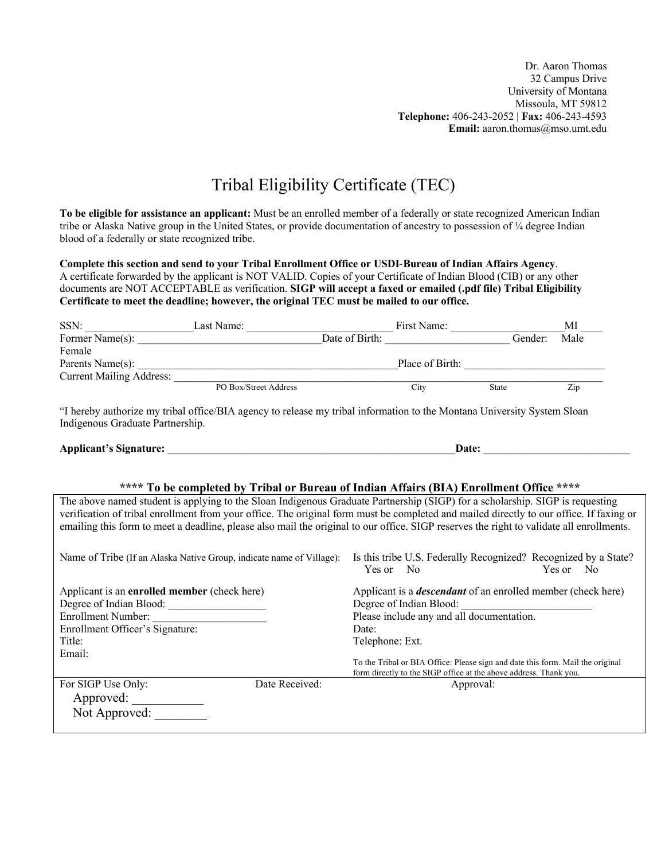Dr. Aaron Thomas 32 Campus Drive University of Montana Missoula, MT 59812 **Telephone:** 406-243-2052 | **Fax:** 406-243-4593 **Email:** aaron.thomas@mso.umt.edu

# Tribal Eligibility Certificate (TEC)

**To be eligible for assistance an applicant:** Must be an enrolled member of a federally or state recognized American Indian tribe or Alaska Native group in the United States, or provide documentation of ancestry to possession of  $\frac{1}{4}$  degree Indian blood of a federally or state recognized tribe.

**Complete this section and send to your Tribal Enrollment Office or USDI**-**Bureau of Indian Affairs Agency**. A certificate forwarded by the applicant is NOT VALID. Copies of your Certificate of Indian Blood (CIB) or any other documents are NOT ACCEPTABLE as verification. **SIGP will accept a faxed or emailed (.pdf file) Tribal Eligibility Certificate to meet the deadline; however, the original TEC must be mailed to our office.** 

| SSN:                            | Last Name:            |                | First Name:     |       |         | МI   |
|---------------------------------|-----------------------|----------------|-----------------|-------|---------|------|
| Former Name(s):                 |                       | Date of Birth: |                 |       | Gender: | Male |
| Female                          |                       |                |                 |       |         |      |
| Parents Name(s):                |                       |                | Place of Birth: |       |         |      |
| <b>Current Mailing Address:</b> |                       |                |                 |       |         |      |
|                                 | PO Box/Street Address |                | City            | State |         | Zip  |

"I hereby authorize my tribal office/BIA agency to release my tribal information to the Montana University System Sloan Indigenous Graduate Partnership.

| <b>Applicant's Signature:</b> | Date |  |
|-------------------------------|------|--|
|                               |      |  |

#### **\*\*\*\* To be completed by Tribal or Bureau of Indian Affairs (BIA) Enrollment Office \*\*\*\***

The above named student is applying to the Sloan Indigenous Graduate Partnership (SIGP) for a scholarship. SIGP is requesting verification of tribal enrollment from your office. The original form must be completed and mailed directly to our office. If faxing or emailing this form to meet a deadline, please also mail the original to our office. SIGP reserves the right to validate all enrollments.

| Name of Tribe (If an Alaska Native Group, indicate name of Village): | Yes or<br>- No          | Is this tribe U.S. Federally Recognized? Recognized by a State?<br>Yes or<br>N <sub>0</sub>                                                         |
|----------------------------------------------------------------------|-------------------------|-----------------------------------------------------------------------------------------------------------------------------------------------------|
| Applicant is an enrolled member (check here)                         |                         | Applicant is a <i>descendant</i> of an enrolled member (check here)                                                                                 |
| Degree of Indian Blood:                                              | Degree of Indian Blood: |                                                                                                                                                     |
| Enrollment Number:                                                   |                         | Please include any and all documentation.                                                                                                           |
| Enrollment Officer's Signature:                                      | Date:                   |                                                                                                                                                     |
| Title:                                                               | Telephone: Ext.         |                                                                                                                                                     |
| Email:                                                               |                         | To the Tribal or BIA Office: Please sign and date this form. Mail the original<br>form directly to the SIGP office at the above address. Thank you. |
| Date Received:<br>For SIGP Use Only:<br>Approved:<br>Not Approved:   |                         | Approval:                                                                                                                                           |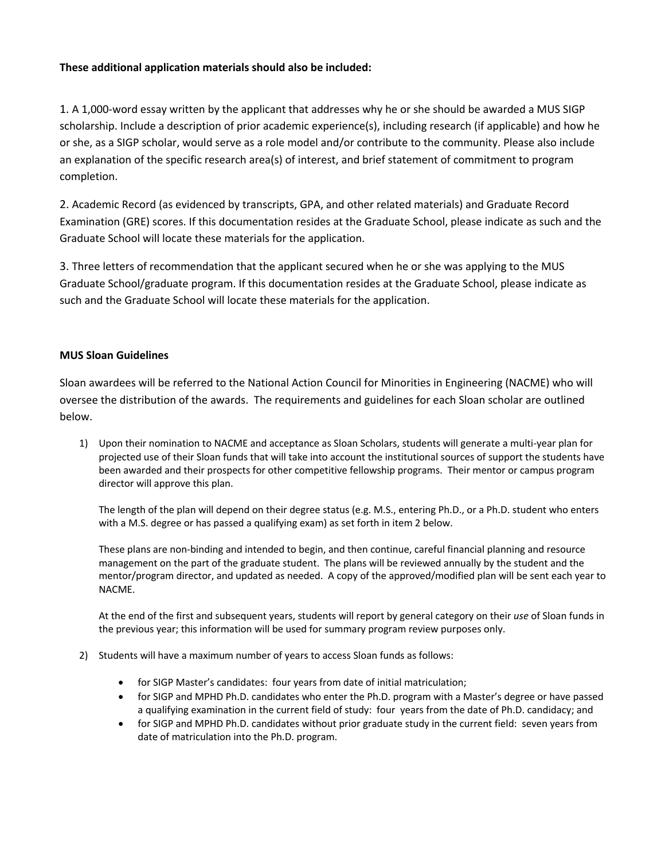# **These additional application materials should also be included:**

1. A 1,000-word essay written by the applicant that addresses why he or she should be awarded a MUS SIGP scholarship. Include a description of prior academic experience(s), including research (if applicable) and how he or she, as a SIGP scholar, would serve as a role model and/or contribute to the community. Please also include an explanation of the specific research area(s) of interest, and brief statement of commitment to program completion.

2. Academic Record (as evidenced by transcripts, GPA, and other related materials) and Graduate Record Examination (GRE) scores. If this documentation resides at the Graduate School, please indicate as such and the Graduate School will locate these materials for the application.

3. Three letters of recommendation that the applicant secured when he or she was applying to the MUS Graduate School/graduate program. If this documentation resides at the Graduate School, please indicate as such and the Graduate School will locate these materials for the application.

## **MUS Sloan Guidelines**

Sloan awardees will be referred to the National Action Council for Minorities in Engineering (NACME) who will oversee the distribution of the awards. The requirements and guidelines for each Sloan scholar are outlined below.

1) Upon their nomination to NACME and acceptance as Sloan Scholars, students will generate a multi-year plan for projected use of their Sloan funds that will take into account the institutional sources of support the students have been awarded and their prospects for other competitive fellowship programs. Their mentor or campus program director will approve this plan.

The length of the plan will depend on their degree status (e.g. M.S., entering Ph.D., or a Ph.D. student who enters with a M.S. degree or has passed a qualifying exam) as set forth in item 2 below.

These plans are non-binding and intended to begin, and then continue, careful financial planning and resource management on the part of the graduate student. The plans will be reviewed annually by the student and the mentor/program director, and updated as needed. A copy of the approved/modified plan will be sent each year to NACME.

At the end of the first and subsequent years, students will report by general category on their *use* of Sloan funds in the previous year; this information will be used for summary program review purposes only.

- 2) Students will have a maximum number of years to access Sloan funds as follows:
	- for SIGP Master's candidates: four years from date of initial matriculation;
	- for SIGP and MPHD Ph.D. candidates who enter the Ph.D. program with a Master's degree or have passed a qualifying examination in the current field of study: four years from the date of Ph.D. candidacy; and
	- for SIGP and MPHD Ph.D. candidates without prior graduate study in the current field: seven years from date of matriculation into the Ph.D. program.